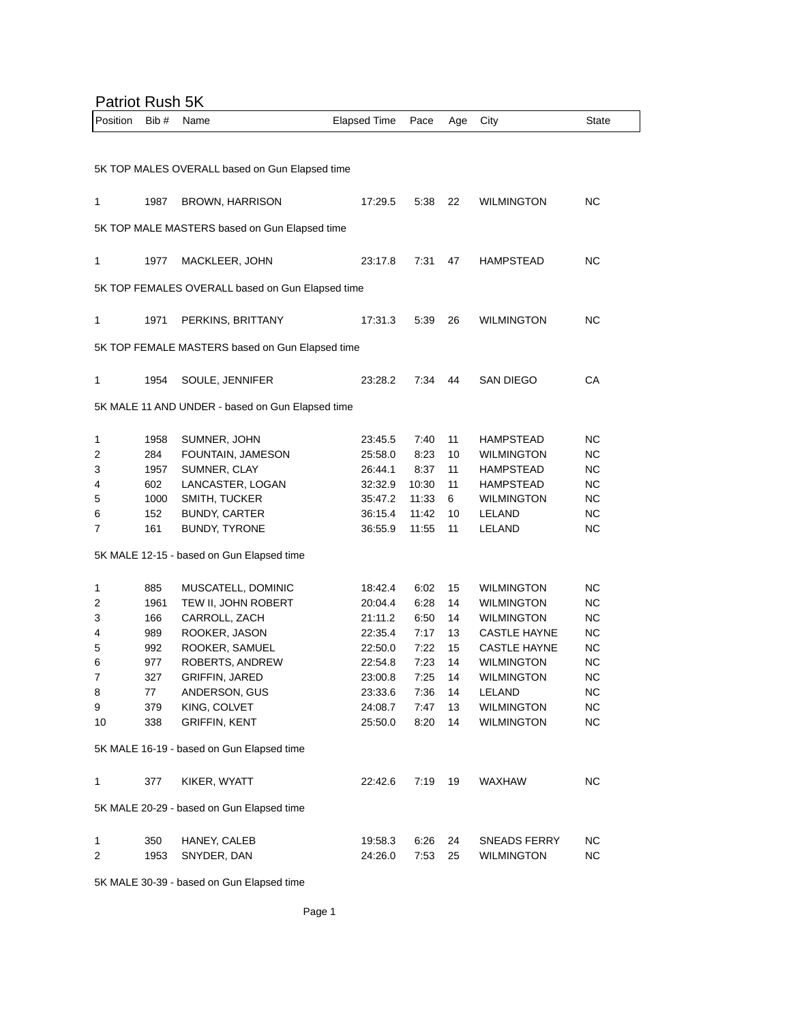## Patriot Rush 5K

| Position                                       | Bib#                                             | Name                                             | <b>Elapsed Time</b> | Pace  | Age | City                | State     |  |
|------------------------------------------------|--------------------------------------------------|--------------------------------------------------|---------------------|-------|-----|---------------------|-----------|--|
|                                                |                                                  |                                                  |                     |       |     |                     |           |  |
| 5K TOP MALES OVERALL based on Gun Elapsed time |                                                  |                                                  |                     |       |     |                     |           |  |
|                                                |                                                  |                                                  |                     |       |     |                     |           |  |
| 1                                              | 1987                                             | BROWN, HARRISON                                  | 17:29.5             | 5:38  | 22  | <b>WILMINGTON</b>   | NC.       |  |
|                                                |                                                  |                                                  |                     |       |     |                     |           |  |
| 5K TOP MALE MASTERS based on Gun Elapsed time  |                                                  |                                                  |                     |       |     |                     |           |  |
| 1                                              | 1977                                             | MACKLEER, JOHN                                   | 23:17.8             | 7:31  | 47  | HAMPSTEAD           | NС        |  |
|                                                |                                                  |                                                  |                     |       |     |                     |           |  |
|                                                | 5K TOP FEMALES OVERALL based on Gun Elapsed time |                                                  |                     |       |     |                     |           |  |
| 1                                              | 1971                                             | PERKINS, BRITTANY                                | 17:31.3             | 5:39  | 26  | <b>WILMINGTON</b>   | NC.       |  |
|                                                |                                                  | 5K TOP FEMALE MASTERS based on Gun Elapsed time  |                     |       |     |                     |           |  |
|                                                |                                                  |                                                  |                     |       |     |                     |           |  |
| 1                                              | 1954                                             | SOULE, JENNIFER                                  | 23:28.2             | 7:34  | 44  | <b>SAN DIEGO</b>    | СA        |  |
|                                                |                                                  |                                                  |                     |       |     |                     |           |  |
|                                                |                                                  | 5K MALE 11 AND UNDER - based on Gun Elapsed time |                     |       |     |                     |           |  |
| 1                                              | 1958                                             | SUMNER, JOHN                                     | 23:45.5             | 7:40  | 11  | <b>HAMPSTEAD</b>    | NС        |  |
| 2                                              | 284                                              | FOUNTAIN, JAMESON                                | 25:58.0             | 8:23  | 10  | <b>WILMINGTON</b>   | NC.       |  |
| 3                                              | 1957                                             | SUMNER, CLAY                                     | 26:44.1             | 8:37  | 11  | <b>HAMPSTEAD</b>    | NC.       |  |
| 4                                              | 602                                              | LANCASTER, LOGAN                                 | 32:32.9             | 10:30 | 11  | <b>HAMPSTEAD</b>    | NC.       |  |
| 5                                              | 1000                                             | SMITH, TUCKER                                    | 35:47.2             | 11:33 | 6   | <b>WILMINGTON</b>   | NC.       |  |
| 6                                              | 152                                              | <b>BUNDY, CARTER</b>                             | 36:15.4             | 11:42 | 10  | LELAND              | <b>NC</b> |  |
| 7                                              | 161                                              | BUNDY, TYRONE                                    | 36:55.9             | 11:55 | 11  | LELAND              | NС        |  |
|                                                |                                                  |                                                  |                     |       |     |                     |           |  |
|                                                |                                                  | 5K MALE 12-15 - based on Gun Elapsed time        |                     |       |     |                     |           |  |
| 1                                              | 885                                              | MUSCATELL, DOMINIC                               | 18:42.4             | 6:02  | 15  | <b>WILMINGTON</b>   | NC.       |  |
| 2                                              | 1961                                             | TEW II, JOHN ROBERT                              | 20:04.4             | 6:28  | 14  | <b>WILMINGTON</b>   | <b>NC</b> |  |
| 3                                              | 166                                              | CARROLL, ZACH                                    | 21:11.2             | 6:50  | 14  | <b>WILMINGTON</b>   | NC.       |  |
| 4                                              | 989                                              | ROOKER, JASON                                    | 22:35.4             | 7:17  | 13  | <b>CASTLE HAYNE</b> | NC.       |  |
| 5                                              | 992                                              | ROOKER, SAMUEL                                   | 22:50.0             | 7:22  | 15  | <b>CASTLE HAYNE</b> | NC.       |  |
| 6                                              | 977                                              | ROBERTS, ANDREW                                  | 22:54.8             | 7:23  | 14  | <b>WILMINGTON</b>   | NC.       |  |
| 7                                              | 327                                              | <b>GRIFFIN, JARED</b>                            | 23:00.8             | 7:25  | 14  | <b>WILMINGTON</b>   | NC        |  |
| 8                                              | 77                                               | ANDERSON, GUS                                    | 23:33.6             | 7:36  | 14  | LELAND              | NС        |  |
| 9                                              | 379                                              | KING, COLVET                                     | 24:08.7             | 7:47  | 13  | <b>WILMINGTON</b>   | <b>NC</b> |  |
| 10                                             | 338                                              | <b>GRIFFIN, KENT</b>                             | 25:50.0             | 8:20  | 14  | <b>WILMINGTON</b>   | <b>NC</b> |  |
|                                                |                                                  |                                                  |                     |       |     |                     |           |  |
|                                                |                                                  | 5K MALE 16-19 - based on Gun Elapsed time        |                     |       |     |                     |           |  |
| 1                                              | 377                                              | KIKER, WYATT                                     | 22:42.6             | 7:19  | 19  | <b>WAXHAW</b>       | NC.       |  |
|                                                |                                                  |                                                  |                     |       |     |                     |           |  |
| 5K MALE 20-29 - based on Gun Elapsed time      |                                                  |                                                  |                     |       |     |                     |           |  |
| 1                                              | 350                                              | HANEY, CALEB                                     | 19:58.3             | 6:26  | 24  | <b>SNEADS FERRY</b> | NC.       |  |
| 2                                              | 1953                                             | SNYDER, DAN                                      | 24:26.0             | 7:53  | 25  | <b>WILMINGTON</b>   | <b>NC</b> |  |
|                                                |                                                  |                                                  |                     |       |     |                     |           |  |

5K MALE 30-39 - based on Gun Elapsed time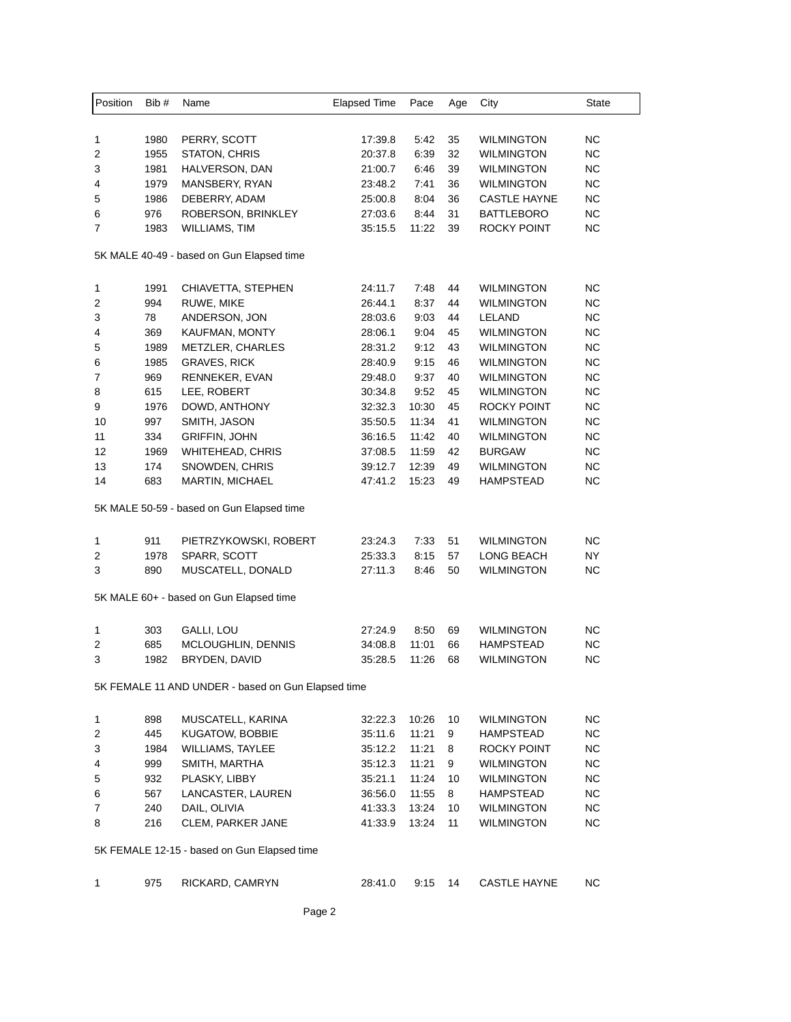| Position                                           | Bib# | Name                                      | <b>Elapsed Time</b> | Pace  | Age | City                | State     |  |
|----------------------------------------------------|------|-------------------------------------------|---------------------|-------|-----|---------------------|-----------|--|
|                                                    |      |                                           |                     |       |     |                     |           |  |
| 1                                                  | 1980 | PERRY, SCOTT                              | 17:39.8             | 5:42  | 35  | <b>WILMINGTON</b>   | NС        |  |
| 2                                                  | 1955 | STATON, CHRIS                             | 20:37.8             | 6:39  | 32  | <b>WILMINGTON</b>   | <b>NC</b> |  |
| 3                                                  | 1981 | HALVERSON, DAN                            | 21:00.7             | 6:46  | 39  | <b>WILMINGTON</b>   | <b>NC</b> |  |
| 4                                                  | 1979 | MANSBERY, RYAN                            | 23:48.2             | 7:41  | 36  | <b>WILMINGTON</b>   | <b>NC</b> |  |
| 5                                                  | 1986 | DEBERRY, ADAM                             | 25:00.8             | 8:04  | 36  | <b>CASTLE HAYNE</b> | <b>NC</b> |  |
| 6                                                  | 976  | ROBERSON, BRINKLEY                        | 27:03.6             | 8:44  | 31  | <b>BATTLEBORO</b>   | <b>NC</b> |  |
| 7                                                  | 1983 | WILLIAMS, TIM                             | 35:15.5             | 11:22 | 39  | ROCKY POINT         | NС        |  |
| 5K MALE 40-49 - based on Gun Elapsed time          |      |                                           |                     |       |     |                     |           |  |
| 1                                                  | 1991 | CHIAVETTA, STEPHEN                        | 24:11.7             | 7:48  | 44  | <b>WILMINGTON</b>   | NС        |  |
| 2                                                  | 994  | RUWE, MIKE                                | 26:44.1             | 8:37  | 44  | <b>WILMINGTON</b>   | <b>NC</b> |  |
| 3                                                  | 78   | ANDERSON, JON                             | 28:03.6             | 9:03  | 44  | LELAND              | NС        |  |
| 4                                                  | 369  | KAUFMAN, MONTY                            | 28:06.1             | 9:04  | 45  | <b>WILMINGTON</b>   | <b>NC</b> |  |
| 5                                                  | 1989 | METZLER, CHARLES                          | 28:31.2             | 9:12  | 43  | <b>WILMINGTON</b>   | <b>NC</b> |  |
| 6                                                  | 1985 | <b>GRAVES, RICK</b>                       | 28:40.9             | 9:15  | 46  | <b>WILMINGTON</b>   | <b>NC</b> |  |
| 7                                                  | 969  | RENNEKER, EVAN                            | 29:48.0             | 9:37  | 40  | <b>WILMINGTON</b>   | <b>NC</b> |  |
| 8                                                  | 615  | LEE, ROBERT                               | 30:34.8             | 9:52  | 45  | <b>WILMINGTON</b>   | <b>NC</b> |  |
| 9                                                  | 1976 | DOWD, ANTHONY                             | 32:32.3             | 10:30 | 45  | ROCKY POINT         | <b>NC</b> |  |
| 10                                                 | 997  |                                           |                     | 11:34 | 41  | <b>WILMINGTON</b>   | <b>NC</b> |  |
| 11                                                 |      | SMITH, JASON                              | 35:50.5             |       |     | <b>WILMINGTON</b>   | <b>NC</b> |  |
| 12                                                 | 334  | <b>GRIFFIN, JOHN</b>                      | 36:16.5             | 11:42 | 40  |                     | <b>NC</b> |  |
|                                                    | 1969 | <b>WHITEHEAD, CHRIS</b>                   | 37:08.5             | 11:59 | 42  | <b>BURGAW</b>       |           |  |
| 13                                                 | 174  | SNOWDEN, CHRIS                            | 39:12.7             | 12:39 | 49  | <b>WILMINGTON</b>   | <b>NC</b> |  |
| 14                                                 | 683  | <b>MARTIN, MICHAEL</b>                    | 47:41.2             | 15:23 | 49  | HAMPSTEAD           | NC.       |  |
|                                                    |      | 5K MALE 50-59 - based on Gun Elapsed time |                     |       |     |                     |           |  |
| 1                                                  | 911  | PIETRZYKOWSKI, ROBERT                     | 23:24.3             | 7:33  | 51  | <b>WILMINGTON</b>   | <b>NC</b> |  |
| 2                                                  | 1978 | SPARR, SCOTT                              | 25:33.3             | 8:15  | 57  | LONG BEACH          | NY        |  |
| 3                                                  | 890  | MUSCATELL, DONALD                         | 27:11.3             | 8:46  | 50  | <b>WILMINGTON</b>   | NC        |  |
|                                                    |      | 5K MALE 60+ - based on Gun Elapsed time   |                     |       |     |                     |           |  |
| 1                                                  | 303  | GALLI, LOU                                | 27:24.9             | 8:50  | 69  | <b>WILMINGTON</b>   | <b>NC</b> |  |
| 2                                                  | 685  | MCLOUGHLIN, DENNIS                        | 34:08.8             | 11:01 | 66  | HAMPSTEAD           | NС        |  |
| 3                                                  | 1982 | BRYDEN, DAVID                             | 35:28.5             | 11:26 | 68  | WILMINGTON          | <b>NC</b> |  |
| 5K FEMALE 11 AND UNDER - based on Gun Elapsed time |      |                                           |                     |       |     |                     |           |  |
| 1                                                  | 898  | MUSCATELL, KARINA                         | 32:22.3             | 10:26 | 10  | <b>WILMINGTON</b>   | <b>NC</b> |  |
| 2                                                  | 445  | KUGATOW, BOBBIE                           | 35:11.6             | 11:21 | 9   | HAMPSTEAD           | <b>NC</b> |  |
| 3                                                  | 1984 | <b>WILLIAMS, TAYLEE</b>                   | 35:12.2             | 11:21 | 8   | ROCKY POINT         | NC.       |  |
| 4                                                  | 999  | SMITH, MARTHA                             | 35:12.3             | 11:21 | 9   | WILMINGTON          | <b>NC</b> |  |
| 5                                                  | 932  | PLASKY, LIBBY                             | 35:21.1             | 11:24 | 10  | <b>WILMINGTON</b>   | <b>NC</b> |  |
|                                                    | 567  | LANCASTER, LAUREN                         |                     | 11:55 | 8   | HAMPSTEAD           | <b>NC</b> |  |
| 6<br>7                                             | 240  |                                           | 36:56.0<br>41:33.3  | 13:24 |     | <b>WILMINGTON</b>   | <b>NC</b> |  |
|                                                    |      | DAIL, OLIVIA                              |                     |       | 10  |                     |           |  |
| 8                                                  | 216  | CLEM, PARKER JANE                         | 41:33.9             | 13:24 | 11  | <b>WILMINGTON</b>   | <b>NC</b> |  |
| 5K FEMALE 12-15 - based on Gun Elapsed time        |      |                                           |                     |       |     |                     |           |  |
| 1                                                  | 975  | RICKARD, CAMRYN                           | 28:41.0             | 9:15  | 14  | <b>CASTLE HAYNE</b> | NC.       |  |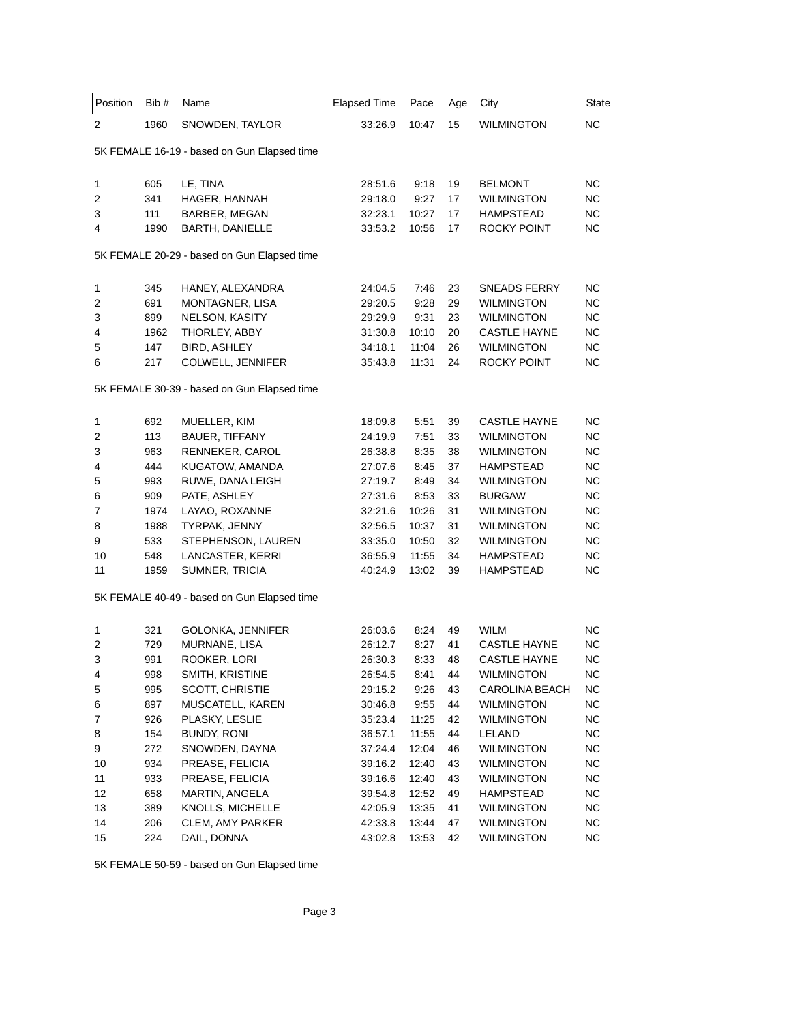| Position                                    | Bib# | Name                   | <b>Elapsed Time</b> | Pace  | Age | City                  | State     |  |
|---------------------------------------------|------|------------------------|---------------------|-------|-----|-----------------------|-----------|--|
| 2                                           | 1960 | SNOWDEN, TAYLOR        | 33:26.9             | 10:47 | 15  | <b>WILMINGTON</b>     | <b>NC</b> |  |
| 5K FEMALE 16-19 - based on Gun Elapsed time |      |                        |                     |       |     |                       |           |  |
| 1                                           | 605  | LE, TINA               | 28:51.6             | 9:18  | 19  | <b>BELMONT</b>        | NC.       |  |
| 2                                           | 341  | HAGER, HANNAH          | 29:18.0             | 9:27  | 17  | <b>WILMINGTON</b>     | <b>NC</b> |  |
| 3                                           | 111  | BARBER, MEGAN          | 32:23.1             | 10:27 | 17  | HAMPSTEAD             | <b>NC</b> |  |
| 4                                           | 1990 | <b>BARTH, DANIELLE</b> | 33:53.2             | 10:56 | 17  | <b>ROCKY POINT</b>    | NC.       |  |
| 5K FEMALE 20-29 - based on Gun Elapsed time |      |                        |                     |       |     |                       |           |  |
| 1                                           | 345  | HANEY, ALEXANDRA       | 24:04.5             | 7:46  | 23  | <b>SNEADS FERRY</b>   | NC.       |  |
| 2                                           | 691  | MONTAGNER, LISA        | 29:20.5             | 9:28  | 29  | <b>WILMINGTON</b>     | <b>NC</b> |  |
| 3                                           | 899  | NELSON, KASITY         | 29:29.9             | 9:31  | 23  | <b>WILMINGTON</b>     | NC.       |  |
| 4                                           | 1962 | THORLEY, ABBY          | 31:30.8             | 10:10 | 20  | <b>CASTLE HAYNE</b>   | NC.       |  |
| 5                                           | 147  | <b>BIRD, ASHLEY</b>    | 34:18.1             | 11:04 | 26  | <b>WILMINGTON</b>     | <b>NC</b> |  |
| 6                                           | 217  | COLWELL, JENNIFER      | 35:43.8             | 11:31 | 24  | ROCKY POINT           | <b>NC</b> |  |
| 5K FEMALE 30-39 - based on Gun Elapsed time |      |                        |                     |       |     |                       |           |  |
| 1                                           | 692  | MUELLER, KIM           | 18:09.8             | 5:51  | 39  | <b>CASTLE HAYNE</b>   | NC.       |  |
| 2                                           | 113  | <b>BAUER, TIFFANY</b>  | 24:19.9             | 7:51  | 33  | <b>WILMINGTON</b>     | <b>NC</b> |  |
| 3                                           | 963  | RENNEKER, CAROL        | 26:38.8             | 8:35  | 38  | <b>WILMINGTON</b>     | <b>NC</b> |  |
| 4                                           | 444  | KUGATOW, AMANDA        | 27:07.6             | 8:45  | 37  | HAMPSTEAD             | <b>NC</b> |  |
| 5                                           | 993  | RUWE, DANA LEIGH       | 27:19.7             | 8:49  | 34  | <b>WILMINGTON</b>     | <b>NC</b> |  |
| 6                                           | 909  | PATE, ASHLEY           | 27:31.6             | 8:53  | 33  | <b>BURGAW</b>         | <b>NC</b> |  |
| 7                                           | 1974 | LAYAO, ROXANNE         | 32:21.6             | 10:26 | 31  | <b>WILMINGTON</b>     | <b>NC</b> |  |
| 8                                           | 1988 | TYRPAK, JENNY          | 32:56.5             | 10:37 | 31  | <b>WILMINGTON</b>     | <b>NC</b> |  |
| 9                                           | 533  | STEPHENSON, LAUREN     | 33:35.0             | 10:50 | 32  | <b>WILMINGTON</b>     | NC.       |  |
| 10                                          | 548  | LANCASTER, KERRI       | 36:55.9             | 11:55 | 34  | HAMPSTEAD             | NC.       |  |
| 11                                          | 1959 | SUMNER, TRICIA         | 40:24.9             | 13:02 | 39  | HAMPSTEAD             | NC.       |  |
| 5K FEMALE 40-49 - based on Gun Elapsed time |      |                        |                     |       |     |                       |           |  |
| 1                                           | 321  | GOLONKA, JENNIFER      | 26:03.6             | 8:24  | 49  | <b>WILM</b>           | <b>NC</b> |  |
| 2                                           | 729  | MURNANE, LISA          | 26:12.7             | 8:27  | 41  | <b>CASTLE HAYNE</b>   | NC.       |  |
| 3                                           | 991  | ROOKER, LORI           | 26:30.3             | 8:33  | 48  | <b>CASTLE HAYNE</b>   | NС        |  |
| 4                                           | 998  | SMITH, KRISTINE        | 26:54.5             | 8:41  | 44  | <b>WILMINGTON</b>     | <b>NC</b> |  |
| 5                                           | 995  | <b>SCOTT, CHRISTIE</b> | 29:15.2             | 9:26  | 43  | <b>CAROLINA BEACH</b> | <b>NC</b> |  |
| 6                                           | 897  | MUSCATELL, KAREN       | 30:46.8             | 9:55  | 44  | <b>WILMINGTON</b>     | <b>NC</b> |  |
| 7                                           | 926  | PLASKY, LESLIE         | 35:23.4             | 11:25 | 42  | <b>WILMINGTON</b>     | <b>NC</b> |  |
| 8                                           | 154  | <b>BUNDY, RONI</b>     | 36:57.1             | 11:55 | 44  | LELAND                | <b>NC</b> |  |
| 9                                           | 272  | SNOWDEN, DAYNA         | 37:24.4             | 12:04 | 46  | <b>WILMINGTON</b>     | <b>NC</b> |  |
| 10                                          | 934  | PREASE, FELICIA        | 39:16.2             | 12:40 | 43  | <b>WILMINGTON</b>     | <b>NC</b> |  |
| 11                                          | 933  | PREASE, FELICIA        | 39:16.6             | 12:40 | 43  | <b>WILMINGTON</b>     | <b>NC</b> |  |
| 12                                          | 658  | MARTIN, ANGELA         | 39:54.8             | 12:52 | 49  | <b>HAMPSTEAD</b>      | NC.       |  |
| 13                                          | 389  | KNOLLS, MICHELLE       | 42:05.9             | 13:35 | 41  | <b>WILMINGTON</b>     | <b>NC</b> |  |
| 14                                          | 206  | CLEM, AMY PARKER       | 42:33.8             | 13:44 | 47  | <b>WILMINGTON</b>     | NC.       |  |
| 15                                          | 224  | DAIL, DONNA            | 43:02.8             | 13:53 | 42  | <b>WILMINGTON</b>     | <b>NC</b> |  |
|                                             |      |                        |                     |       |     |                       |           |  |

5K FEMALE 50-59 - based on Gun Elapsed time